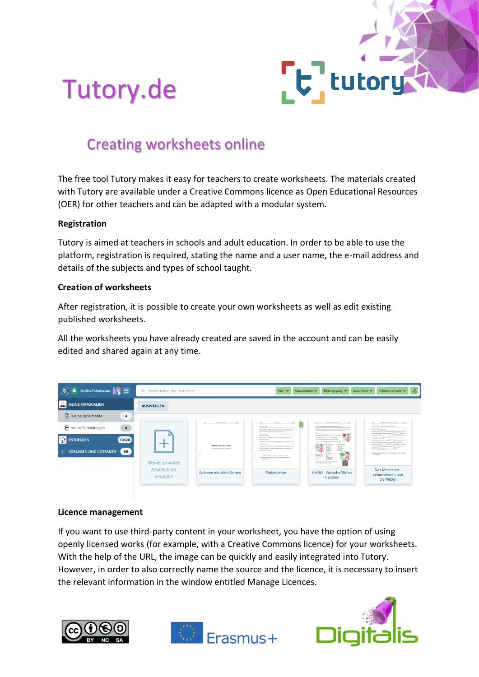

# Tutory.de

# Creating worksheets online

The free tool Tutory makes it easy for teachers to create worksheets. The materials created with Tutory are available under a Creative Commons licence as Open Educational Resources (OER) for other teachers and can be adapted with a modular system.

## **Registration**

Tutory is aimed at teachers in schools and adult education. In order to be able to use the platform, registration is required, stating the name and a user name, the e-mail address and details of the subjects and types of school taught.

## **Creation of worksheets**

After registration, it is possible to create your own worksheets as well as edit existing published worksheets.

All the worksheets you have already created are saved in the account and can be easily edited and shared again at any time.



#### **Licence management**

If you want to use third-party content in your worksheet, you have the option of using openly licensed works (for example, with a Creative Commons licence) for your worksheets. With the help of the URL, the image can be quickly and easily integrated into Tutory. However, in order to also correctly name the source and the licence, it is necessary to insert the relevant information in the window entitled Manage Licences.





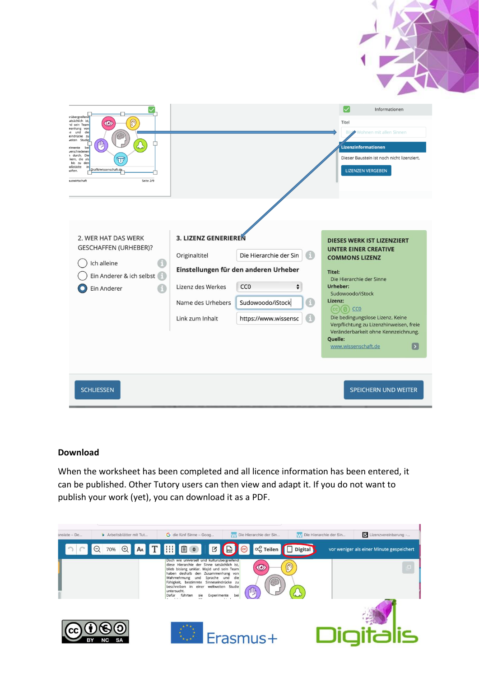| ırübergreifend                                                                                                                                                                                                                                                                                                                              |                                                                                                    |                                                                                                                                                    | $\left \smile\right $<br>Informationen                                                                                                                                                                                                                                                                                                                             |
|---------------------------------------------------------------------------------------------------------------------------------------------------------------------------------------------------------------------------------------------------------------------------------------------------------------------------------------------|----------------------------------------------------------------------------------------------------|----------------------------------------------------------------------------------------------------------------------------------------------------|--------------------------------------------------------------------------------------------------------------------------------------------------------------------------------------------------------------------------------------------------------------------------------------------------------------------------------------------------------------------|
| atsächlich ist,<br>$\circledR$<br>$\circledcirc$<br>nd sein Team<br>nenhang von<br>e und<br>die<br>eindrücke zu<br>veiten Studie<br>伵<br>rimente<br>be<br>verschiedener<br>I durch. Die<br>kern, die als<br>$\overline{\mathbf{u}}$<br>bis zu den<br>oßstädte<br>in<br>Grafik/wissenschaft.de<br>aften.<br>Seite 2/9<br><b>uswirtschaft</b> |                                                                                                    |                                                                                                                                                    | Titel<br>B)<br>Wohnen mit allen Sinnen<br>Lizenzinformationen<br>Dieser Baustein ist noch nicht lizenziert.<br><b>LIZENZEN VERGEBEN</b>                                                                                                                                                                                                                            |
| 2. WER HAT DAS WERK<br><b>GESCHAFFEN (URHEBER)?</b><br>A<br>Ich alleine<br>Ein Anderer & ich selbst<br>Ein Anderer                                                                                                                                                                                                                          | 3. LIZENZ GENERIEREN<br>Originaltitel<br>Lizenz des Werkes<br>Name des Urhebers<br>Link zum Inhalt | Die Hierarchie der Sin<br>Einstellungen für den anderen Urheber<br>CC <sub>0</sub><br>$\div$<br>0<br>Sudowoodo/iStock<br>Θ<br>https://www.wissensc | <b>DIESES WERK IST LIZENZIERT</b><br><b>UNTER EINER CREATIVE</b><br><b>COMMONS LIZENZ</b><br>Titel:<br>Die Hierarchie der Sinne<br>Urheber:<br>Sudowoodo/iStock<br>Lizenz:<br>$(cc)(0)$ CCO<br>Die bedingungslose Lizenz. Keine<br>Verpflichtung zu Lizenzhinweisen, freie<br>Veränderbarkeit ohne Kennzeichnung.<br>Quelle:<br>$\boxed{5}$<br>www.wissenschaft.de |
| <b>SCHLIESSEN</b>                                                                                                                                                                                                                                                                                                                           |                                                                                                    |                                                                                                                                                    | SPEICHERN UND WEITER                                                                                                                                                                                                                                                                                                                                               |

#### **Download**

When the worksheet has been completed and all licence information has been entered, it can be published. Other Tutory users can then view and adapt it. If you do not want to publish your work (yet), you can download it as a PDF.

| anslate - De | Arbeitsblätter mit Tut | G die fünf Sinne - Goog                                                                                                                                                                                                                                                                                                                                           | W Die Hierarchie der Sin                                     | W Die Hierarchie der Sin | S Lizenzvereinbarung -                   |
|--------------|------------------------|-------------------------------------------------------------------------------------------------------------------------------------------------------------------------------------------------------------------------------------------------------------------------------------------------------------------------------------------------------------------|--------------------------------------------------------------|--------------------------|------------------------------------------|
|              | Q                      | 70% ① A T  目 O B B A O                                                                                                                                                                                                                                                                                                                                            | $\alpha_0^0$ Teilen                                          | <b>Digital</b>           | vor weniger als einer Minute gespeichert |
|              |                        | Doch wie universell und kulturübergreifend<br>diese Hierarchie der Sinne tatsächlich ist,<br>blieb bislang unklar. Majid und sein Team<br>haben deshalb den Zusammenhang von<br>Sprache und<br>Wahrnehmung und<br>Fähigkeit, bestimmte<br>beschreiben in einer weltweiten Studie<br>untersucht.<br>Experimente<br>Dafür führten<br>sie<br>$\cdot$ $\cdot$ $\cdot$ | die<br>63<br>Sinneseindrücke zu<br>一門<br>bei<br>$\mathbf{1}$ |                          |                                          |
|              | NC<br>SΑ               |                                                                                                                                                                                                                                                                                                                                                                   | Erasmus+                                                     |                          |                                          |